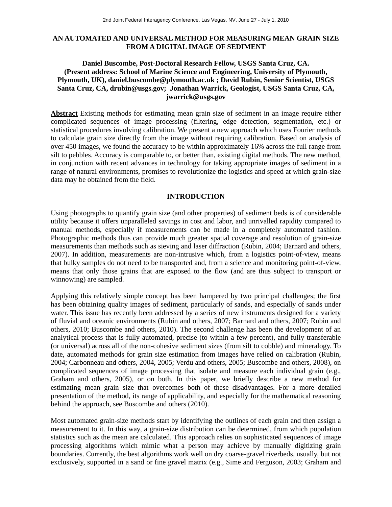## **AN AUTOMATED AND UNIVERSAL METHOD FOR MEASURING MEAN GRAIN SIZE FROM A DIGITAL IMAGE OF SEDIMENT**

# **Daniel Buscombe, Post-Doctoral Research Fellow, USGS Santa Cruz, CA. (Present address: School of Marine Science and Engineering, University of Plymouth, Plymouth, UK), daniel.buscombe@plymouth.ac.uk ; David Rubin, Senior Scientist, USGS Santa Cruz, CA, drubin@usgs.gov; Jonathan Warrick, Geologist, USGS Santa Cruz, CA, jwarrick@usgs.gov**

**Abstract** Existing methods for estimating mean grain size of sediment in an image require either complicated sequences of image processing (filtering, edge detection, segmentation, etc.) or statistical procedures involving calibration. We present a new approach which uses Fourier methods to calculate grain size directly from the image without requiring calibration. Based on analysis of over 450 images, we found the accuracy to be within approximately 16% across the full range from silt to pebbles. Accuracy is comparable to, or better than, existing digital methods. The new method, in conjunction with recent advances in technology for taking appropriate images of sediment in a range of natural environments, promises to revolutionize the logistics and speed at which grain-size data may be obtained from the field.

### **INTRODUCTION**

Using photographs to quantify grain size (and other properties) of sediment beds is of considerable utility because it offers unparalleled savings in cost and labor, and unrivalled rapidity compared to manual methods, especially if measurements can be made in a completely automated fashion. Photographic methods thus can provide much greater spatial coverage and resolution of grain-size measurements than methods such as sieving and laser diffraction (Rubin, 2004; Barnard and others, 2007). In addition, measurements are non-intrusive which, from a logistics point-of-view, means that bulky samples do not need to be transported and, from a science and monitoring point-of-view, means that only those grains that are exposed to the flow (and are thus subject to transport or winnowing) are sampled.

Applying this relatively simple concept has been hampered by two principal challenges; the first has been obtaining quality images of sediment, particularly of sands, and especially of sands under water. This issue has recently been addressed by a series of new instruments designed for a variety of fluvial and oceanic environments (Rubin and others, 2007; Barnard and others, 2007; Rubin and others, 2010; Buscombe and others, 2010). The second challenge has been the development of an analytical process that is fully automated, precise (to within a few percent), and fully transferable (or universal) across all of the non-cohesive sediment sizes (from silt to cobble) and mineralogy. To date, automated methods for grain size estimation from images have relied on calibration (Rubin, 2004; Carbonneau and others, 2004, 2005; Verdu and others, 2005; Buscombe and others, 2008), on complicated sequences of image processing that isolate and measure each individual grain (e.g., Graham and others, 2005), or on both. In this paper, we briefly describe a new method for estimating mean grain size that overcomes both of these disadvantages. For a more detailed presentation of the method, its range of applicability, and especially for the mathematical reasoning behind the approach, see Buscombe and others (2010).

Most automated grain-size methods start by identifying the outlines of each grain and then assign a measurement to it. In this way, a grain-size distribution can be determined, from which population statistics such as the mean are calculated. This approach relies on sophisticated sequences of image processing algorithms which mimic what a person may achieve by manually digitizing grain boundaries. Currently, the best algorithms work well on dry coarse-gravel riverbeds, usually, but not exclusively, supported in a sand or fine gravel matrix (e.g., Sime and Ferguson, 2003; Graham and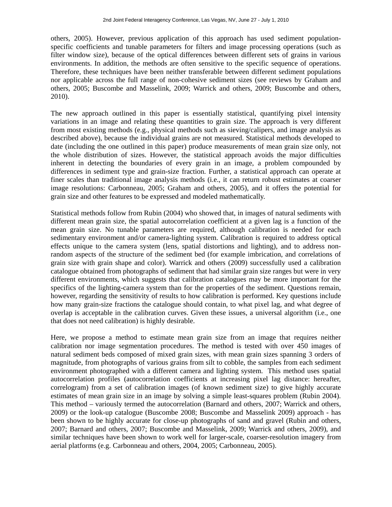others, 2005). However, previous application of this approach has used sediment populationspecific coefficients and tunable parameters for filters and image processing operations (such as filter window size), because of the optical differences between different sets of grains in various environments. In addition, the methods are often sensitive to the specific sequence of operations. Therefore, these techniques have been neither transferable between different sediment populations nor applicable across the full range of non-cohesive sediment sizes (see reviews by Graham and others, 2005; Buscombe and Masselink, 2009; Warrick and others, 2009; Buscombe and others, 2010).

The new approach outlined in this paper is essentially statistical, quantifying pixel intensity variations in an image and relating these quantities to grain size. The approach is very different from most existing methods (e.g., physical methods such as sieving/calipers, and image analysis as described above), because the individual grains are not measured. Statistical methods developed to date (including the one outlined in this paper) produce measurements of mean grain size only, not the whole distribution of sizes. However, the statistical approach avoids the major difficulties inherent in detecting the boundaries of every grain in an image, a problem compounded by differences in sediment type and grain-size fraction. Further, a statistical approach can operate at finer scales than traditional image analysis methods (i.e., it can return robust estimates at coarser image resolutions: Carbonneau, 2005; Graham and others, 2005), and it offers the potential for grain size and other features to be expressed and modeled mathematically.

Statistical methods follow from Rubin (2004) who showed that, in images of natural sediments with different mean grain size, the spatial autocorrelation coefficient at a given lag is a function of the mean grain size. No tunable parameters are required, although calibration is needed for each sedimentary environment and/or camera-lighting system. Calibration is required to address optical effects unique to the camera system (lens, spatial distortions and lighting), and to address nonrandom aspects of the structure of the sediment bed (for example imbrication, and correlations of grain size with grain shape and color). Warrick and others (2009) successfully used a calibration catalogue obtained from photographs of sediment that had similar grain size ranges but were in very different environments, which suggests that calibration catalogues may be more important for the specifics of the lighting-camera system than for the properties of the sediment. Questions remain, however, regarding the sensitivity of results to how calibration is performed. Key questions include how many grain-size fractions the catalogue should contain, to what pixel lag, and what degree of overlap is acceptable in the calibration curves. Given these issues, a universal algorithm (i.e., one that does not need calibration) is highly desirable.

Here, we propose a method to estimate mean grain size from an image that requires neither calibration nor image segmentation procedures. The method is tested with over 450 images of natural sediment beds composed of mixed grain sizes, with mean grain sizes spanning 3 orders of magnitude, from photographs of various grains from silt to cobble, the samples from each sediment environment photographed with a different camera and lighting system. This method uses spatial autocorrelation profiles (autocorrelation coefficients at increasing pixel lag distance: hereafter, correlogram) from a set of calibration images (of known sediment size) to give highly accurate estimates of mean grain size in an image by solving a simple least-squares problem (Rubin 2004). This method – variously termed the autocorrelation (Barnard and others, 2007; Warrick and others, 2009) or the look-up catalogue (Buscombe 2008; Buscombe and Masselink 2009) approach - has been shown to be highly accurate for close-up photographs of sand and gravel (Rubin and others, 2007; Barnard and others, 2007; Buscombe and Masselink, 2009; Warrick and others, 2009), and similar techniques have been shown to work well for larger-scale, coarser-resolution imagery from aerial platforms (e.g. Carbonneau and others, 2004, 2005; Carbonneau, 2005).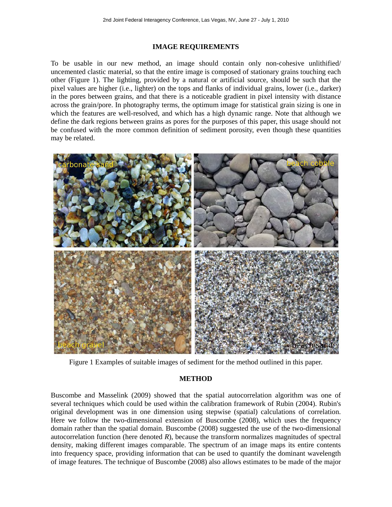### **IMAGE REQUIREMENTS**

To be usable in our new method, an image should contain only non-cohesive unlithified/ uncemented clastic material, so that the entire image is composed of stationary grains touching each other (Figure 1). The lighting, provided by a natural or artificial source, should be such that the pixel values are higher (i.e., lighter) on the tops and flanks of individual grains, lower (i.e., darker) in the pores between grains, and that there is a noticeable gradient in pixel intensity with distance across the grain/pore. In photography terms, the optimum image for statistical grain sizing is one in which the features are well-resolved, and which has a high dynamic range. Note that although we define the dark regions between grains as pores for the purposes of this paper, this usage should not be confused with the more common definition of sediment porosity, even though these quantities may be related.



Figure 1 Examples of suitable images of sediment for the method outlined in this paper.

### **METHOD**

Buscombe and Masselink (2009) showed that the spatial autocorrelation algorithm was one of several techniques which could be used within the calibration framework of Rubin (2004). Rubin's original development was in one dimension using stepwise (spatial) calculations of correlation. Here we follow the two-dimensional extension of Buscombe (2008), which uses the frequency domain rather than the spatial domain. Buscombe (2008) suggested the use of the two-dimensional autocorrelation function (here denoted *R*), because the transform normalizes magnitudes of spectral density, making different images comparable. The spectrum of an image maps its entire contents into frequency space, providing information that can be used to quantify the dominant wavelength of image features. The technique of Buscombe (2008) also allows estimates to be made of the major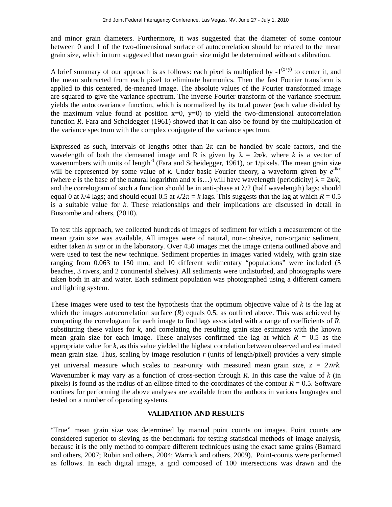and minor grain diameters. Furthermore, it was suggested that the diameter of some contour between 0 and 1 of the two-dimensional surface of autocorrelation should be related to the mean grain size, which in turn suggested that mean grain size might be determined without calibration.

A brief summary of our approach is as follows: each pixel is multiplied by  $-1^{(x+y)}$  to center it, and the mean subtracted from each pixel to eliminate harmonics. Then the fast Fourier transform is applied to this centered, de-meaned image. The absolute values of the Fourier transformed image are squared to give the variance spectrum. The inverse Fourier transform of the variance spectrum yields the autocovariance function, which is normalized by its total power (each value divided by the maximum value found at position  $x=0$ ,  $y=0$ ) to yield the two-dimensional autocorrelation function *R*. Fara and Scheidegger (1961) showed that it can also be found by the multiplication of the variance spectrum with the complex conjugate of the variance spectrum.

Expressed as such, intervals of lengths other than  $2\pi$  can be handled by scale factors, and the wavelength of both the demeaned image and R is given by  $\lambda = 2\pi/k$ , where k is a vector of wavenumbers with units of length<sup>-1</sup> (Fara and Scheidegger, 1961), or 1/pixels. The mean grain size will be represented by some value of  $k$ . Under basic Fourier theory, a waveform given by  $e^{-ikx}$ (where *e* is the base of the natural logarithm and x is...) will have wavelength (periodicity)  $\lambda = 2\pi/k$ , and the correlogram of such a function should be in anti-phase at  $\lambda/2$  (half wavelength) lags; should equal 0 at  $\lambda/4$  lags; and should equal 0.5 at  $\lambda/2\pi = k$  lags. This suggests that the lag at which  $R = 0.5$ is a suitable value for *k*. These relationships and their implications are discussed in detail in Buscombe and others, (2010).

To test this approach, we collected hundreds of images of sediment for which a measurement of the mean grain size was available. All images were of natural, non-cohesive, non-organic sediment, either taken *in situ* or in the laboratory. Over 450 images met the image criteria outlined above and were used to test the new technique. Sediment properties in images varied widely, with grain size ranging from 0.063 to 150 mm, and 10 different sedimentary "populations" were included (5 beaches, 3 rivers, and 2 continental shelves). All sediments were undisturbed, and photographs were taken both in air and water. Each sediment population was photographed using a different camera and lighting system.

These images were used to test the hypothesis that the optimum objective value of *k* is the lag at which the images autocorrelation surface (*R*) equals 0.5, as outlined above. This was achieved by computing the correlogram for each image to find lags associated with a range of coefficients of *R*, substituting these values for  $k$ , and correlating the resulting grain size estimates with the known mean grain size for each image. These analyses confirmed the lag at which  $R = 0.5$  as the appropriate value for *k*, as this value yielded the highest correlation between observed and estimated mean grain size. Thus, scaling by image resolution *r* (units of length/pixel) provides a very simple yet universal measure which scales to near-unity with measured mean grain size,  $z = 2\pi r k$ . Wavenumber *k* may vary as a function of cross-section through *R*. In this case the value of *k* (in pixels) is found as the radius of an ellipse fitted to the coordinates of the contour  $R = 0.5$ . Software routines for performing the above analyses are available from the authors in various languages and tested on a number of operating systems.

## **VALIDATION AND RESULTS**

"True" mean grain size was determined by manual point counts on images. Point counts are considered superior to sieving as the benchmark for testing statistical methods of image analysis, because it is the only method to compare different techniques using the exact same grains (Barnard and others, 2007; Rubin and others, 2004; Warrick and others, 2009). Point-counts were performed as follows. In each digital image, a grid composed of 100 intersections was drawn and the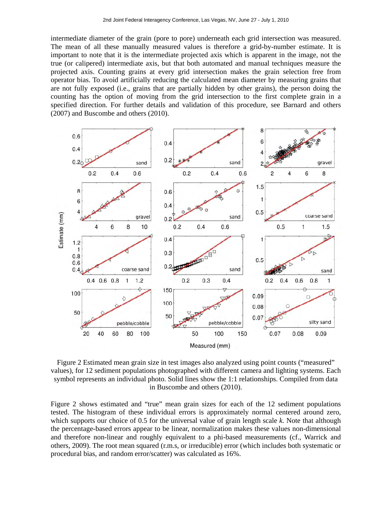intermediate diameter of the grain (pore to pore) underneath each grid intersection was measured. The mean of all these manually measured values is therefore a grid-by-number estimate. It is important to note that it is the intermediate projected axis which is apparent in the image, not the true (or calipered) intermediate axis, but that both automated and manual techniques measure the projected axis. Counting grains at every grid intersection makes the grain selection free from operator bias. To avoid artificially reducing the calculated mean diameter by measuring grains that are not fully exposed (i.e., grains that are partially hidden by other grains), the person doing the counting has the option of moving from the grid intersection to the first complete grain in a specified direction. For further details and validation of this procedure, see Barnard and others (2007) and Buscombe and others (2010).



Figure 2 Estimated mean grain size in test images also analyzed using point counts ("measured" values), for 12 sediment populations photographed with different camera and lighting systems. Each symbol represents an individual photo. Solid lines show the 1:1 relationships. Compiled from data in Buscombe and others (2010).

Figure 2 shows estimated and "true" mean grain sizes for each of the 12 sediment populations tested. The histogram of these individual errors is approximately normal centered around zero, which supports our choice of 0.5 for the universal value of grain length scale *k*. Note that although the percentage-based errors appear to be linear, normalization makes these values non-dimensional and therefore non-linear and roughly equivalent to a phi-based measurements (cf., Warrick and others, 2009). The root mean squared (r.m.s, or irreducible) error (which includes both systematic or procedural bias, and random error/scatter) was calculated as 16%.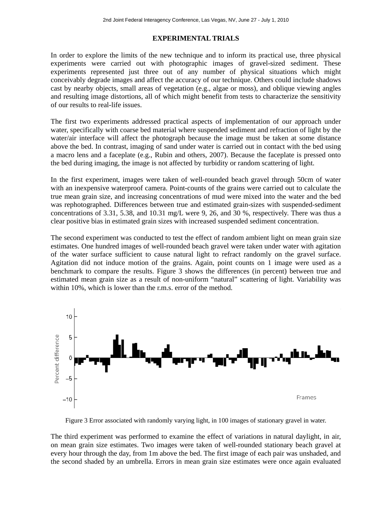# **EXPERIMENTAL TRIALS**

In order to explore the limits of the new technique and to inform its practical use, three physical experiments were carried out with photographic images of gravel-sized sediment. These experiments represented just three out of any number of physical situations which might conceivably degrade images and affect the accuracy of our technique. Others could include shadows cast by nearby objects, small areas of vegetation (e.g., algae or moss), and oblique viewing angles and resulting image distortions, all of which might benefit from tests to characterize the sensitivity of our results to real-life issues.

The first two experiments addressed practical aspects of implementation of our approach under water, specifically with coarse bed material where suspended sediment and refraction of light by the water/air interface will affect the photograph because the image must be taken at some distance above the bed. In contrast, imaging of sand under water is carried out in contact with the bed using a macro lens and a faceplate (e.g., Rubin and others, 2007). Because the faceplate is pressed onto the bed during imaging, the image is not affected by turbidity or random scattering of light.

In the first experiment, images were taken of well-rounded beach gravel through 50cm of water with an inexpensive waterproof camera. Point-counts of the grains were carried out to calculate the true mean grain size, and increasing concentrations of mud were mixed into the water and the bed was rephotographed. Differences between true and estimated grain-sizes with suspended-sediment concentrations of 3.31, 5.38, and 10.31 mg/L were 9, 26, and 30 %, respectively. There was thus a clear positive bias in estimated grain sizes with increased suspended sediment concentration.

The second experiment was conducted to test the effect of random ambient light on mean grain size estimates. One hundred images of well-rounded beach gravel were taken under water with agitation of the water surface sufficient to cause natural light to refract randomly on the gravel surface. Agitation did not induce motion of the grains. Again, point counts on 1 image were used as a benchmark to compare the results. Figure 3 shows the differences (in percent) between true and estimated mean grain size as a result of non-uniform "natural" scattering of light. Variability was within 10%, which is lower than the r.m.s. error of the method.



Figure 3 Error associated with randomly varying light, in 100 images of stationary gravel in water.

The third experiment was performed to examine the effect of variations in natural daylight, in air, on mean grain size estimates. Two images were taken of well-rounded stationary beach gravel at every hour through the day, from 1m above the bed. The first image of each pair was unshaded, and the second shaded by an umbrella. Errors in mean grain size estimates were once again evaluated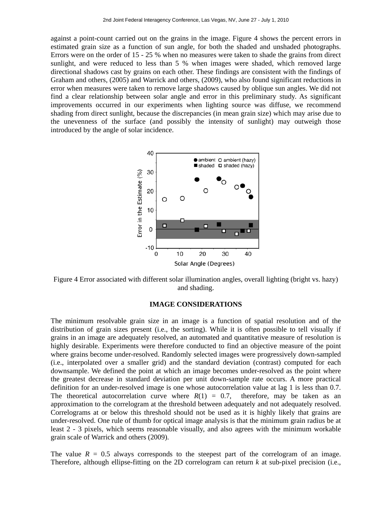against a point-count carried out on the grains in the image. Figure 4 shows the percent errors in estimated grain size as a function of sun angle, for both the shaded and unshaded photographs. Errors were on the order of 15 - 25 % when no measures were taken to shade the grains from direct sunlight, and were reduced to less than 5 % when images were shaded, which removed large directional shadows cast by grains on each other. These findings are consistent with the findings of Graham and others, (2005) and Warrick and others, (2009), who also found significant reductions in error when measures were taken to remove large shadows caused by oblique sun angles. We did not find a clear relationship between solar angle and error in this preliminary study. As significant improvements occurred in our experiments when lighting source was diffuse, we recommend shading from direct sunlight, because the discrepancies (in mean grain size) which may arise due to the unevenness of the surface (and possibly the intensity of sunlight) may outweigh those introduced by the angle of solar incidence.



Figure 4 Error associated with different solar illumination angles, overall lighting (bright vs. hazy) and shading.

### **IMAGE CONSIDERATIONS**

The minimum resolvable grain size in an image is a function of spatial resolution and of the distribution of grain sizes present (i.e., the sorting). While it is often possible to tell visually if grains in an image are adequately resolved, an automated and quantitative measure of resolution is highly desirable. Experiments were therefore conducted to find an objective measure of the point where grains become under-resolved. Randomly selected images were progressively down-sampled (i.e., interpolated over a smaller grid) and the standard deviation (contrast) computed for each downsample. We defined the point at which an image becomes under-resolved as the point where the greatest decrease in standard deviation per unit down-sample rate occurs. A more practical definition for an under-resolved image is one whose autocorrelation value at lag 1 is less than 0.7. The theoretical autocorrelation curve where  $R(1) = 0.7$ , therefore, may be taken as an approximation to the correlogram at the threshold between adequately and not adequately resolved. Correlograms at or below this threshold should not be used as it is highly likely that grains are under-resolved. One rule of thumb for optical image analysis is that the minimum grain radius be at least 2 - 3 pixels, which seems reasonable visually, and also agrees with the minimum workable grain scale of Warrick and others (2009).

The value  $R = 0.5$  always corresponds to the steepest part of the correlogram of an image. Therefore, although ellipse-fitting on the 2D correlogram can return *k* at sub-pixel precision (i.e.,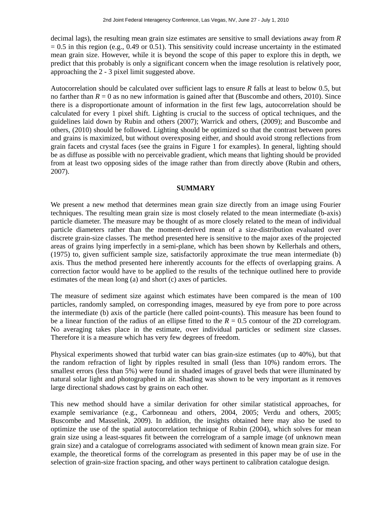decimal lags), the resulting mean grain size estimates are sensitive to small deviations away from *R*   $= 0.5$  in this region (e.g., 0.49 or 0.51). This sensitivity could increase uncertainty in the estimated mean grain size. However, while it is beyond the scope of this paper to explore this in depth, we predict that this probably is only a significant concern when the image resolution is relatively poor, approaching the 2 - 3 pixel limit suggested above.

Autocorrelation should be calculated over sufficient lags to ensure *R* falls at least to below 0.5, but no farther than  $R = 0$  as no new information is gained after that (Buscombe and others, 2010). Since there is a disproportionate amount of information in the first few lags, autocorrelation should be calculated for every 1 pixel shift. Lighting is crucial to the success of optical techniques, and the guidelines laid down by Rubin and others (2007); Warrick and others, (2009); and Buscombe and others, (2010) should be followed. Lighting should be optimized so that the contrast between pores and grains is maximized, but without overexposing either, and should avoid strong reflections from grain facets and crystal faces (see the grains in Figure 1 for examples). In general, lighting should be as diffuse as possible with no perceivable gradient, which means that lighting should be provided from at least two opposing sides of the image rather than from directly above (Rubin and others, 2007).

### **SUMMARY**

We present a new method that determines mean grain size directly from an image using Fourier techniques. The resulting mean grain size is most closely related to the mean intermediate (b-axis) particle diameter. The measure may be thought of as more closely related to the mean of individual particle diameters rather than the moment-derived mean of a size-distribution evaluated over discrete grain-size classes. The method presented here is sensitive to the major axes of the projected areas of grains lying imperfectly in a semi-plane, which has been shown by Kellerhals and others, (1975) to, given sufficient sample size, satisfactorily approximate the true mean intermediate (b) axis. Thus the method presented here inherently accounts for the effects of overlapping grains. A correction factor would have to be applied to the results of the technique outlined here to provide estimates of the mean long (a) and short (c) axes of particles.

The measure of sediment size against which estimates have been compared is the mean of 100 particles, randomly sampled, on corresponding images, measured by eye from pore to pore across the intermediate (b) axis of the particle (here called point-counts). This measure has been found to be a linear function of the radius of an ellipse fitted to the  $R = 0.5$  contour of the 2D correlogram. No averaging takes place in the estimate, over individual particles or sediment size classes. Therefore it is a measure which has very few degrees of freedom.

Physical experiments showed that turbid water can bias grain-size estimates (up to 40%), but that the random refraction of light by ripples resulted in small (less than 10%) random errors. The smallest errors (less than 5%) were found in shaded images of gravel beds that were illuminated by natural solar light and photographed in air. Shading was shown to be very important as it removes large directional shadows cast by grains on each other.

This new method should have a similar derivation for other similar statistical approaches, for example semivariance (e.g., Carbonneau and others, 2004, 2005; Verdu and others, 2005; Buscombe and Masselink, 2009). In addition, the insights obtained here may also be used to optimize the use of the spatial autocorrelation technique of Rubin (2004), which solves for mean grain size using a least-squares fit between the correlogram of a sample image (of unknown mean grain size) and a catalogue of correlograms associated with sediment of known mean grain size. For example, the theoretical forms of the correlogram as presented in this paper may be of use in the selection of grain-size fraction spacing, and other ways pertinent to calibration catalogue design.